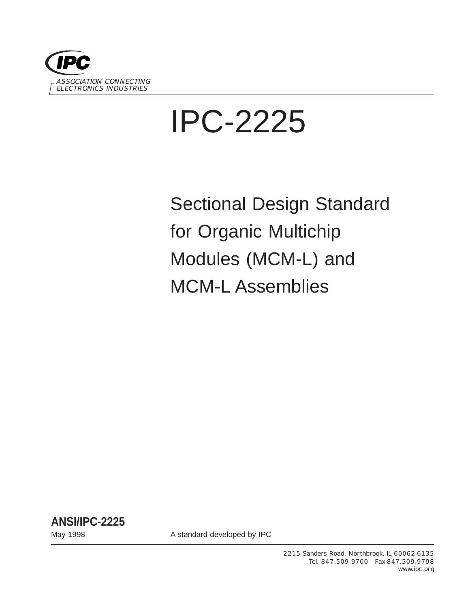

# IPC-2225

Sectional Design Standard for Organic Multichip Modules (MCM-L) and MCM-L Assemblies

**ANSI/IPC-2225**

May 1998 May 1998 **A standard developed by IPC**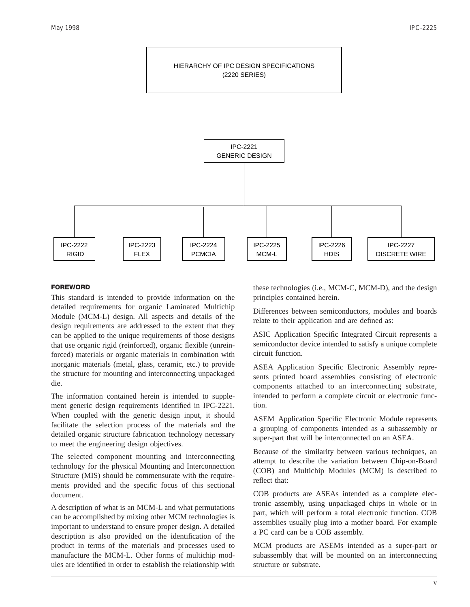

### **FOREWORD**

This standard is intended to provide information on the detailed requirements for organic Laminated Multichip Module (MCM-L) design. All aspects and details of the design requirements are addressed to the extent that they can be applied to the unique requirements of those designs that use organic rigid (reinforced), organic flexible (unreinforced) materials or organic materials in combination with inorganic materials (metal, glass, ceramic, etc.) to provide the structure for mounting and interconnecting unpackaged die.

The information contained herein is intended to supplement generic design requirements identified in IPC-2221. When coupled with the generic design input, it should facilitate the selection process of the materials and the detailed organic structure fabrication technology necessary to meet the engineering design objectives.

The selected component mounting and interconnecting technology for the physical Mounting and Interconnection Structure (MIS) should be commensurate with the requirements provided and the specific focus of this sectional document.

A description of what is an MCM-L and what permutations can be accomplished by mixing other MCM technologies is important to understand to ensure proper design. A detailed description is also provided on the identification of the product in terms of the materials and processes used to manufacture the MCM-L. Other forms of multichip modules are identified in order to establish the relationship with

these technologies (i.e., MCM-C, MCM-D), and the design principles contained herein.

Differences between semiconductors, modules and boards relate to their application and are defined as:

ASIC Application Specific Integrated Circuit represents a semiconductor device intended to satisfy a unique complete circuit function.

ASEA Application Specific Electronic Assembly represents printed board assemblies consisting of electronic components attached to an interconnecting substrate, intended to perform a complete circuit or electronic function.

ASEM Application Specific Electronic Module represents a grouping of components intended as a subassembly or super-part that will be interconnected on an ASEA.

Because of the similarity between various techniques, an attempt to describe the variation between Chip-on-Board (COB) and Multichip Modules (MCM) is described to reflect that:

COB products are ASEAs intended as a complete electronic assembly, using unpackaged chips in whole or in part, which will perform a total electronic function. COB assemblies usually plug into a mother board. For example a PC card can be a COB assembly.

MCM products are ASEMs intended as a super-part or subassembly that will be mounted on an interconnecting structure or substrate.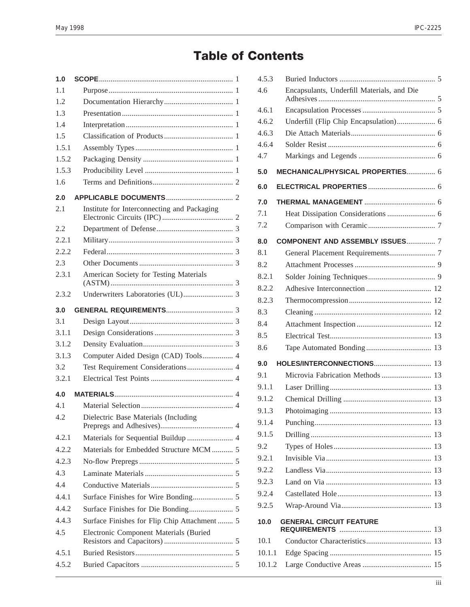# **Table of Contents**

| 1.0   |                                                                                       |  |
|-------|---------------------------------------------------------------------------------------|--|
| 1.1   |                                                                                       |  |
| 1.2   |                                                                                       |  |
| 1.3   |                                                                                       |  |
| 1.4   |                                                                                       |  |
| 1.5   |                                                                                       |  |
| 1.5.1 |                                                                                       |  |
| 1.5.2 |                                                                                       |  |
| 1.5.3 |                                                                                       |  |
| 1.6   |                                                                                       |  |
| 2.0   |                                                                                       |  |
| 2.1   | Institute for Interconnecting and Packaging                                           |  |
| 2.2   |                                                                                       |  |
| 2.2.1 |                                                                                       |  |
| 2.2.2 |                                                                                       |  |
| 2.3   |                                                                                       |  |
| 2.3.1 | American Society for Testing Materials                                                |  |
| 2.3.2 |                                                                                       |  |
| 3.0   |                                                                                       |  |
| 3.1   |                                                                                       |  |
| 3.1.1 |                                                                                       |  |
|       |                                                                                       |  |
| 3.1.2 |                                                                                       |  |
| 3.1.3 | Computer Aided Design (CAD) Tools 4                                                   |  |
| 3.2   |                                                                                       |  |
| 3.2.1 |                                                                                       |  |
| 4.0   |                                                                                       |  |
| 4.1   |                                                                                       |  |
| 4.2   | Dielectric Base Materials (Including                                                  |  |
| 4.2.1 |                                                                                       |  |
| 4.2.2 | Materials for Sequential Buildup  4<br>Materials for Embedded Structure MCM  5        |  |
| 4.2.3 |                                                                                       |  |
| 4.3   |                                                                                       |  |
| 4.4   |                                                                                       |  |
| 4.4.1 |                                                                                       |  |
| 4.4.2 |                                                                                       |  |
| 4.4.3 |                                                                                       |  |
| 4.5   | Surface Finishes for Flip Chip Attachment 5<br>Electronic Component Materials (Buried |  |
| 4.5.1 |                                                                                       |  |
| 4.5.2 |                                                                                       |  |

| 4.5.3  |                                            |  |
|--------|--------------------------------------------|--|
| 4.6    | Encapsulants, Underfill Materials, and Die |  |
| 4.6.1  |                                            |  |
| 4.6.2  | Underfill (Flip Chip Encapsulation) 6      |  |
| 4.6.3  |                                            |  |
| 4.6.4  |                                            |  |
| 4.7    |                                            |  |
| 5.0    | MECHANICAL/PHYSICAL PROPERTIES 6           |  |
| 6.0    |                                            |  |
| 7.0    |                                            |  |
| 7.1    |                                            |  |
| 7.2    |                                            |  |
| 8.0    | <b>COMPONENT AND ASSEMBLY ISSUES 7</b>     |  |
| 8.1    |                                            |  |
| 8.2    |                                            |  |
| 8.2.1  |                                            |  |
| 8.2.2  |                                            |  |
| 8.2.3  |                                            |  |
| 8.3    |                                            |  |
| 8.4    |                                            |  |
| 8.5    |                                            |  |
| 8.6    |                                            |  |
| 9.0    |                                            |  |
| 9.1    | Microvia Fabrication Methods  13           |  |
| 9.1.1  |                                            |  |
| 9.1.2  |                                            |  |
| 9.1.3  |                                            |  |
| 9.1.4  |                                            |  |
| 9.1.5  |                                            |  |
| 9.2    |                                            |  |
| 9.2.1  |                                            |  |
| 9.2.2  |                                            |  |
| 9.2.3  |                                            |  |
| 9.2.4  |                                            |  |
| 9.2.5  |                                            |  |
| 10.0   | <b>GENERAL CIRCUIT FEATURE</b>             |  |
| 10.1   |                                            |  |
| 10.1.1 |                                            |  |
| 10.1.2 |                                            |  |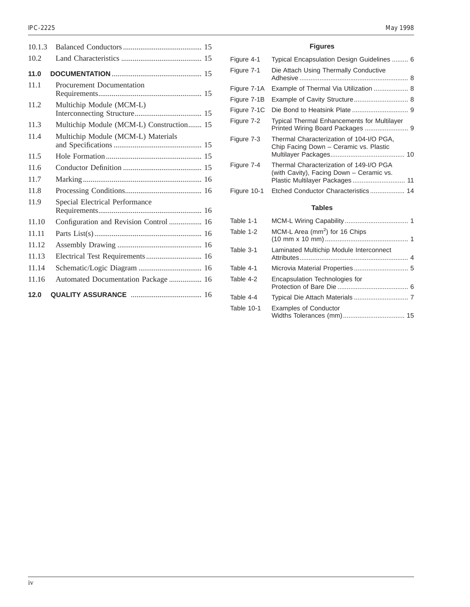| 10.1.3 |                                          |
|--------|------------------------------------------|
| 10.2   |                                          |
| 11.0   |                                          |
| 11.1   | <b>Procurement Documentation</b>         |
| 11.2   | Multichip Module (MCM-L)                 |
| 11.3   | Multichip Module (MCM-L) Construction 15 |
| 11.4   | Multichip Module (MCM-L) Materials       |
| 11.5   |                                          |
| 11.6   |                                          |
| 11.7   |                                          |
| 11.8   |                                          |
| 11.9   | <b>Special Electrical Performance</b>    |
| 11.10  | Configuration and Revision Control  16   |
| 11.11  |                                          |
| 11.12  |                                          |
| 11.13  | Electrical Test Requirements 16          |
| 11.14  |                                          |
| 11.16  | Automated Documentation Package  16      |
| 12.0   |                                          |

## **Figures**

| Figure 4-1  | Typical Encapsulation Design Guidelines  6                                          |
|-------------|-------------------------------------------------------------------------------------|
| Figure 7-1  | Die Attach Using Thermally Conductive                                               |
| Figure 7-1A | Example of Thermal Via Utilization  8                                               |
| Figure 7-1B | Example of Cavity Structure 8                                                       |
| Figure 7-1C |                                                                                     |
| Figure 7-2  | <b>Typical Thermal Enhancements for Multilayer</b>                                  |
| Figure 7-3  | Thermal Characterization of 104-I/O PGA,<br>Chip Facing Down - Ceramic vs. Plastic  |
| Figure 7-4  | Thermal Characterization of 149-I/O PGA<br>(with Cavity), Facing Down - Ceramic vs. |
| Figure 10-1 | Etched Conductor Characteristics 14                                                 |
|             | <b>Tables</b>                                                                       |
| 1-1 Ahle    | MCM-L Wiring Canability<br>1                                                        |

| Table 1-1  |                                            |
|------------|--------------------------------------------|
| Table 1-2  | MCM-L Area (mm <sup>2</sup> ) for 16 Chips |
| Table 3-1  | Laminated Multichip Module Interconnect    |
| Table 4-1  |                                            |
| Table 4-2  | Encapsulation Technologies for             |
| Table 4-4  |                                            |
| Table 10-1 | <b>Examples of Conductor</b>               |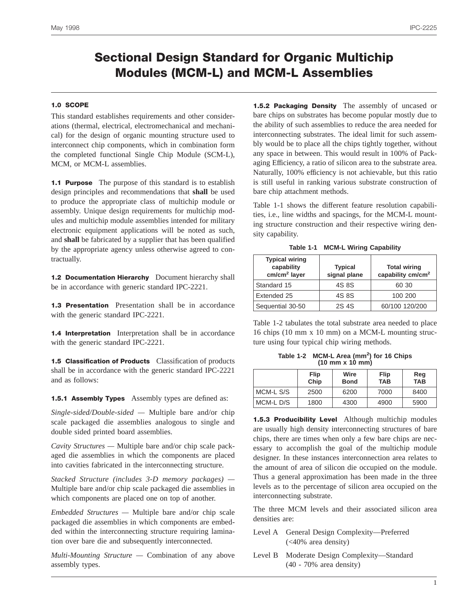## **Sectional Design Standard for Organic Multichip Modules (MCM-L) and MCM-L Assemblies**

## **1.0 SCOPE**

This standard establishes requirements and other considerations (thermal, electrical, electromechanical and mechanical) for the design of organic mounting structure used to interconnect chip components, which in combination form the completed functional Single Chip Module (SCM-L), MCM, or MCM-L assemblies.

**1.1 Purpose** The purpose of this standard is to establish design principles and recommendations that **shall** be used to produce the appropriate class of multichip module or assembly. Unique design requirements for multichip modules and multichip module assemblies intended for military electronic equipment applications will be noted as such, and **shall** be fabricated by a supplier that has been qualified by the appropriate agency unless otherwise agreed to contractually.

**1.2 Documentation Hierarchy** Document hierarchy shall be in accordance with generic standard IPC-2221.

**1.3 Presentation** Presentation shall be in accordance with the generic standard IPC-2221.

**1.4 Interpretation** Interpretation shall be in accordance with the generic standard IPC-2221.

**1.5 Classification of Products** Classification of products shall be in accordance with the generic standard IPC-2221 and as follows:

**1.5.1 Assembly Types** Assembly types are defined as:

*Single-sided/Double-sided —* Multiple bare and/or chip scale packaged die assemblies analogous to single and double sided printed board assemblies.

*Cavity Structures —* Multiple bare and/or chip scale packaged die assemblies in which the components are placed into cavities fabricated in the interconnecting structure.

*Stacked Structure (includes 3-D memory packages) —* Multiple bare and/or chip scale packaged die assemblies in which components are placed one on top of another.

*Embedded Structures —* Multiple bare and/or chip scale packaged die assemblies in which components are embedded within the interconnecting structure requiring lamination over bare die and subsequently interconnected.

*Multi-Mounting Structure —* Combination of any above assembly types.

**1.5.2 Packaging Density** The assembly of uncased or bare chips on substrates has become popular mostly due to the ability of such assemblies to reduce the area needed for interconnecting substrates. The ideal limit for such assembly would be to place all the chips tightly together, without any space in between. This would result in 100% of Packaging Efficiency, a ratio of silicon area to the substrate area. Naturally, 100% efficiency is not achievable, but this ratio is still useful in ranking various substrate construction of bare chip attachment methods.

Table 1-1 shows the different feature resolution capabilities, i.e., line widths and spacings, for the MCM-L mounting structure construction and their respective wiring density capability.

**Table 1-1 MCM-L Wiring Capability**

| <b>Typical wiring</b><br>capability<br>cm/cm <sup>2</sup> layer | <b>Typical</b><br>signal plane | <b>Total wiring</b><br>capability cm/cm <sup>2</sup> |
|-----------------------------------------------------------------|--------------------------------|------------------------------------------------------|
| Standard 15                                                     | 4S 8S                          | 60 30                                                |
| Extended 25                                                     | 4S 8S                          | 100 200                                              |
| Sequential 30-50                                                | 2S 4S                          | 60/100 120/200                                       |

Table 1-2 tabulates the total substrate area needed to place 16 chips (10 mm x 10 mm) on a MCM-L mounting structure using four typical chip wiring methods.

**Table 1-2 MCM-L Area (mm<sup>2</sup> ) for 16 Chips (10 mm x 10 mm)**

|           | Flip<br>Chip | Wire<br><b>Bond</b> | Flip<br><b>TAB</b> | Reg<br><b>TAB</b> |
|-----------|--------------|---------------------|--------------------|-------------------|
| MCM-L S/S | 2500         | 6200                | 7000               | 8400              |
| MCM-LD/S  | 1800         | 4300                | 4900               | 5900              |

**1.5.3 Producibility Level** Although multichip modules are usually high density interconnecting structures of bare chips, there are times when only a few bare chips are necessary to accomplish the goal of the multichip module designer. In these instances interconnection area relates to the amount of area of silicon die occupied on the module. Thus a general approximation has been made in the three levels as to the percentage of silicon area occupied on the interconnecting substrate.

The three MCM levels and their associated silicon area densities are:

- Level A General Design Complexity—Preferred  $( $40\%$  area density)$
- Level B Moderate Design Complexity—Standard (40 - 70% area density)